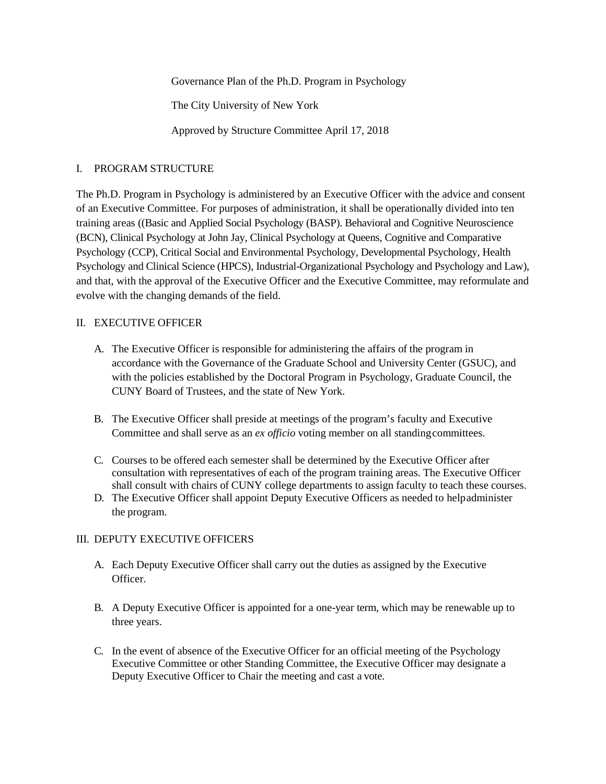Governance Plan of the Ph.D. Program in Psychology

The City University of New York

Approved by Structure Committee April 17, 2018

## I. PROGRAM STRUCTURE

The Ph.D. Program in Psychology is administered by an Executive Officer with the advice and consent of an Executive Committee. For purposes of administration, it shall be operationally divided into ten training areas ((Basic and Applied Social Psychology (BASP). Behavioral and Cognitive Neuroscience (BCN), Clinical Psychology at John Jay, Clinical Psychology at Queens, Cognitive and Comparative Psychology (CCP), Critical Social and Environmental Psychology, Developmental Psychology, Health Psychology and Clinical Science (HPCS), Industrial-Organizational Psychology and Psychology and Law), and that, with the approval of the Executive Officer and the Executive Committee, may reformulate and evolve with the changing demands of the field.

## II. EXECUTIVE OFFICER

- A. The Executive Officer is responsible for administering the affairs of the program in accordance with the Governance of the Graduate School and University Center (GSUC), and with the policies established by the Doctoral Program in Psychology, Graduate Council, the CUNY Board of Trustees, and the state of New York.
- B. The Executive Officer shall preside at meetings of the program's faculty and Executive Committee and shall serve as an *ex officio* voting member on all standingcommittees.
- C. Courses to be offered each semester shall be determined by the Executive Officer after consultation with representatives of each of the program training areas. The Executive Officer shall consult with chairs of CUNY college departments to assign faculty to teach these courses.
- D. The Executive Officer shall appoint Deputy Executive Officers as needed to helpadminister the program.

# III. DEPUTY EXECUTIVE OFFICERS

- A. Each Deputy Executive Officer shall carry out the duties as assigned by the Executive Officer.
- B. A Deputy Executive Officer is appointed for a one-year term, which may be renewable up to three years.
- C. In the event of absence of the Executive Officer for an official meeting of the Psychology Executive Committee or other Standing Committee, the Executive Officer may designate a Deputy Executive Officer to Chair the meeting and cast a vote.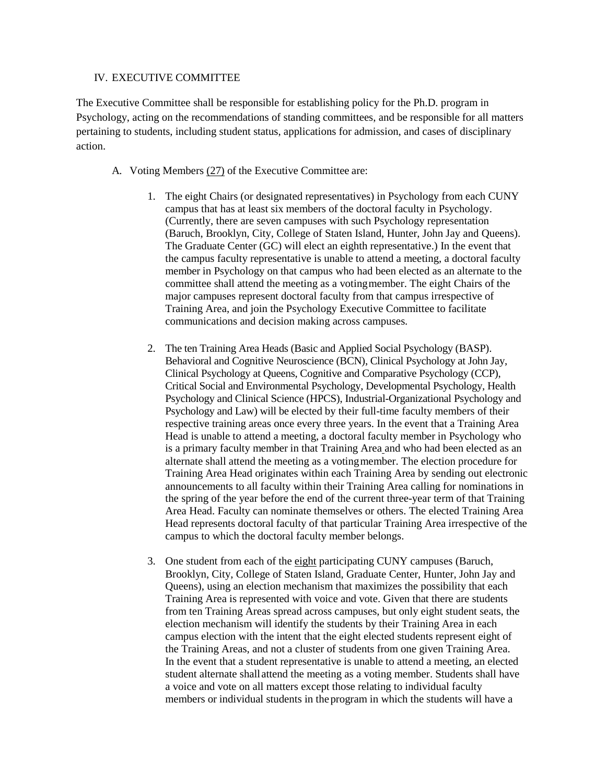#### IV. EXECUTIVE COMMITTEE

The Executive Committee shall be responsible for establishing policy for the Ph.D. program in Psychology, acting on the recommendations of standing committees, and be responsible for all matters pertaining to students, including student status, applications for admission, and cases of disciplinary action.

- A. Voting Members (27) of the Executive Committee are:
	- 1. The eight Chairs (or designated representatives) in Psychology from each CUNY campus that has at least six members of the doctoral faculty in Psychology. (Currently, there are seven campuses with such Psychology representation (Baruch, Brooklyn, City, College of Staten Island, Hunter, John Jay and Queens). The Graduate Center (GC) will elect an eighth representative.) In the event that the campus faculty representative is unable to attend a meeting, a doctoral faculty member in Psychology on that campus who had been elected as an alternate to the committee shall attend the meeting as a votingmember. The eight Chairs of the major campuses represent doctoral faculty from that campus irrespective of Training Area, and join the Psychology Executive Committee to facilitate communications and decision making across campuses.
	- 2. The ten Training Area Heads (Basic and Applied Social Psychology (BASP). Behavioral and Cognitive Neuroscience (BCN), Clinical Psychology at John Jay, Clinical Psychology at Queens, Cognitive and Comparative Psychology (CCP), Critical Social and Environmental Psychology, Developmental Psychology, Health Psychology and Clinical Science (HPCS), Industrial-Organizational Psychology and Psychology and Law) will be elected by their full-time faculty members of their respective training areas once every three years. In the event that a Training Area Head is unable to attend a meeting, a doctoral faculty member in Psychology who is a primary faculty member in that Training Area and who had been elected as an alternate shall attend the meeting as a votingmember. The election procedure for Training Area Head originates within each Training Area by sending out electronic announcements to all faculty within their Training Area calling for nominations in the spring of the year before the end of the current three-year term of that Training Area Head. Faculty can nominate themselves or others. The elected Training Area Head represents doctoral faculty of that particular Training Area irrespective of the campus to which the doctoral faculty member belongs.
	- 3. One student from each of the eight participating CUNY campuses (Baruch, Brooklyn, City, College of Staten Island, Graduate Center, Hunter, John Jay and Queens), using an election mechanism that maximizes the possibility that each Training Area is represented with voice and vote. Given that there are students from ten Training Areas spread across campuses, but only eight student seats, the election mechanism will identify the students by their Training Area in each campus election with the intent that the eight elected students represent eight of the Training Areas, and not a cluster of students from one given Training Area. In the event that a student representative is unable to attend a meeting, an elected student alternate shall attend the meeting as a voting member. Students shall have a voice and vote on all matters except those relating to individual faculty members or individual students in theprogram in which the students will have a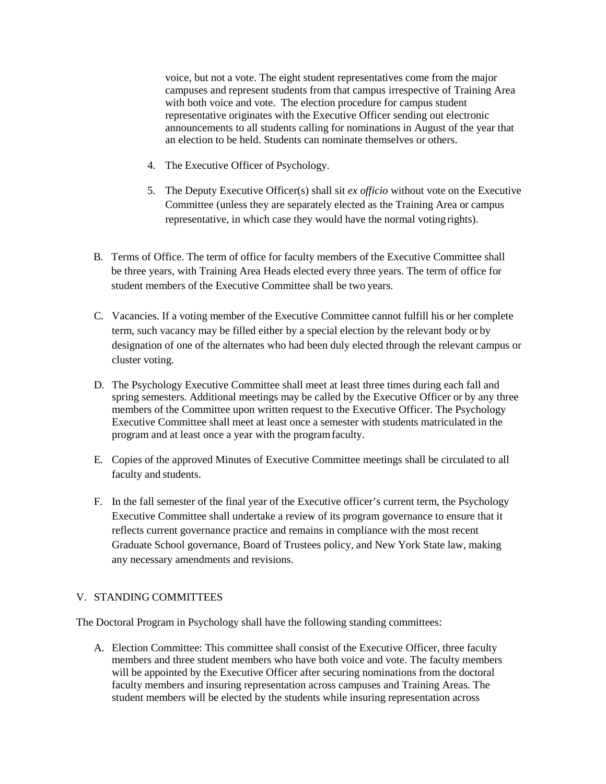voice, but not a vote. The eight student representatives come from the major campuses and represent students from that campus irrespective of Training Area with both voice and vote. The election procedure for campus student representative originates with the Executive Officer sending out electronic announcements to all students calling for nominations in August of the year that an election to be held. Students can nominate themselves or others.

- 4. The Executive Officer of Psychology.
- 5. The Deputy Executive Officer(s) shall sit *ex officio* without vote on the Executive Committee (unless they are separately elected as the Training Area or campus representative, in which case they would have the normal voting rights).
- B. Terms of Office. The term of office for faculty members of the Executive Committee shall be three years, with Training Area Heads elected every three years. The term of office for student members of the Executive Committee shall be two years.
- C. Vacancies. If a voting member of the Executive Committee cannot fulfill his or her complete term, such vacancy may be filled either by a special election by the relevant body or by designation of one of the alternates who had been duly elected through the relevant campus or cluster voting.
- D. The Psychology Executive Committee shall meet at least three times during each fall and spring semesters. Additional meetings may be called by the Executive Officer or by any three members of the Committee upon written request to the Executive Officer. The Psychology Executive Committee shall meet at least once a semester with students matriculated in the program and at least once a year with the programfaculty.
- E. Copies of the approved Minutes of Executive Committee meetings shall be circulated to all faculty and students.
- F. In the fall semester of the final year of the Executive officer's current term, the Psychology Executive Committee shall undertake a review of its program governance to ensure that it reflects current governance practice and remains in compliance with the most recent Graduate School governance, Board of Trustees policy, and New York State law, making any necessary amendments and revisions.

### V. STANDING COMMITTEES

The Doctoral Program in Psychology shall have the following standing committees:

A. Election Committee: This committee shall consist of the Executive Officer, three faculty members and three student members who have both voice and vote. The faculty members will be appointed by the Executive Officer after securing nominations from the doctoral faculty members and insuring representation across campuses and Training Areas. The student members will be elected by the students while insuring representation across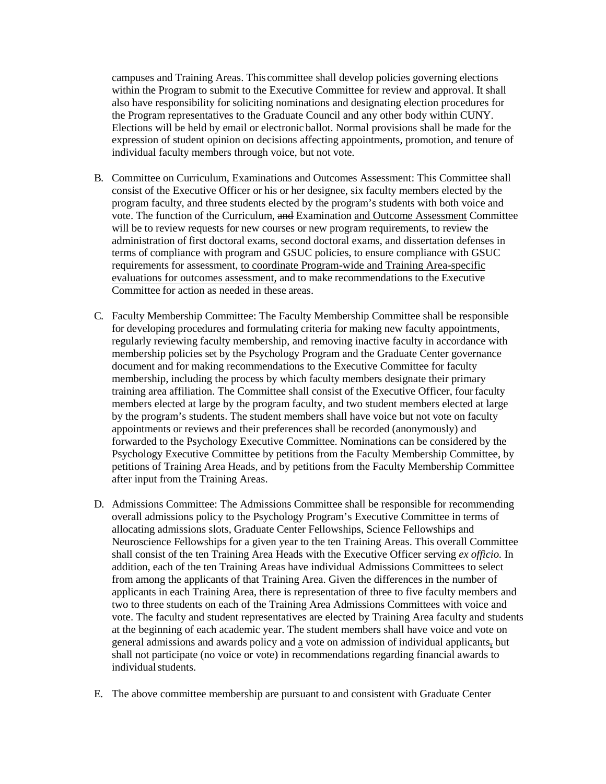campuses and Training Areas. This committee shall develop policies governing elections within the Program to submit to the Executive Committee for review and approval. It shall also have responsibility for soliciting nominations and designating election procedures for the Program representatives to the Graduate Council and any other body within CUNY. Elections will be held by email or electronic ballot. Normal provisions shall be made for the expression of student opinion on decisions affecting appointments, promotion, and tenure of individual faculty members through voice, but not vote.

- B. Committee on Curriculum, Examinations and Outcomes Assessment: This Committee shall consist of the Executive Officer or his or her designee, six faculty members elected by the program faculty, and three students elected by the program's students with both voice and vote. The function of the Curriculum, and Examination and Outcome Assessment Committee will be to review requests for new courses or new program requirements, to review the administration of first doctoral exams, second doctoral exams, and dissertation defenses in terms of compliance with program and GSUC policies, to ensure compliance with GSUC requirements for assessment, to coordinate Program-wide and Training Area-specific evaluations for outcomes assessment, and to make recommendations to the Executive Committee for action as needed in these areas.
- C. Faculty Membership Committee: The Faculty Membership Committee shall be responsible for developing procedures and formulating criteria for making new faculty appointments, regularly reviewing faculty membership, and removing inactive faculty in accordance with membership policies set by the Psychology Program and the Graduate Center governance document and for making recommendations to the Executive Committee for faculty membership, including the process by which faculty members designate their primary training area affiliation. The Committee shall consist of the Executive Officer, fourfaculty members elected at large by the program faculty, and two student members elected at large by the program's students. The student members shall have voice but not vote on faculty appointments or reviews and their preferences shall be recorded (anonymously) and forwarded to the Psychology Executive Committee. Nominations can be considered by the Psychology Executive Committee by petitions from the Faculty Membership Committee, by petitions of Training Area Heads, and by petitions from the Faculty Membership Committee after input from the Training Areas.
- D. Admissions Committee: The Admissions Committee shall be responsible for recommending overall admissions policy to the Psychology Program's Executive Committee in terms of allocating admissions slots, Graduate Center Fellowships, Science Fellowships and Neuroscience Fellowships for a given year to the ten Training Areas. This overall Committee shall consist of the ten Training Area Heads with the Executive Officer serving *ex officio.* In addition, each of the ten Training Areas have individual Admissions Committees to select from among the applicants of that Training Area. Given the differences in the number of applicants in each Training Area, there is representation of three to five faculty members and two to three students on each of the Training Area Admissions Committees with voice and vote. The faculty and student representatives are elected by Training Area faculty and students at the beginning of each academic year. The student members shall have voice and vote on general admissions and awards policy and a vote on admission of individual applicants, but shall not participate (no voice or vote) in recommendations regarding financial awards to individual students.
- E. The above committee membership are pursuant to and consistent with Graduate Center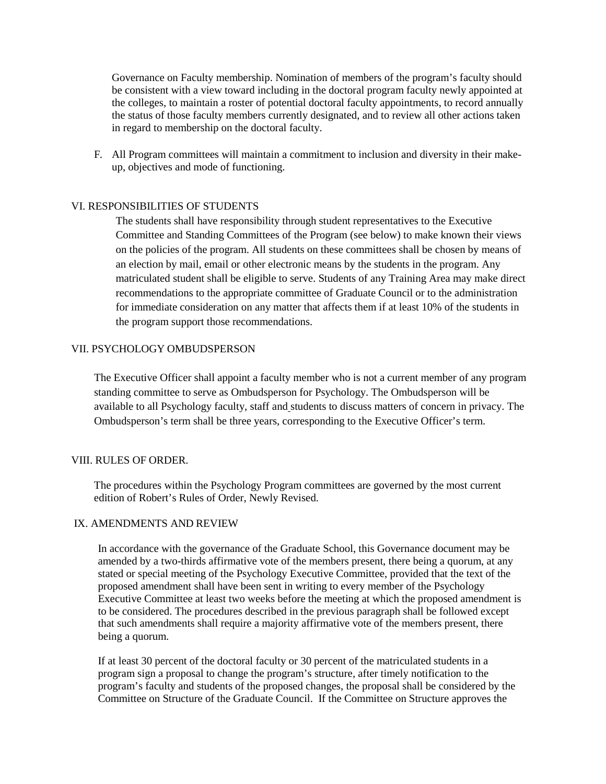Governance on Faculty membership. Nomination of members of the program's faculty should be consistent with a view toward including in the doctoral program faculty newly appointed at the colleges, to maintain a roster of potential doctoral faculty appointments, to record annually the status of those faculty members currently designated, and to review all other actions taken in regard to membership on the doctoral faculty.

F. All Program committees will maintain a commitment to inclusion and diversity in their makeup, objectives and mode of functioning.

## VI. RESPONSIBILITIES OF STUDENTS

The students shall have responsibility through student representatives to the Executive Committee and Standing Committees of the Program (see below) to make known their views on the policies of the program. All students on these committees shall be chosen by means of an election by mail, email or other electronic means by the students in the program. Any matriculated student shall be eligible to serve. Students of any Training Area may make direct recommendations to the appropriate committee of Graduate Council or to the administration for immediate consideration on any matter that affects them if at least 10% of the students in the program support those recommendations.

## VII. PSYCHOLOGY OMBUDSPERSON

The Executive Officer shall appoint a faculty member who is not a current member of any program standing committee to serve as Ombudsperson for Psychology. The Ombudsperson will be available to all Psychology faculty, staff and students to discuss matters of concern in privacy. The Ombudsperson's term shall be three years, corresponding to the Executive Officer's term.

### VIII. RULES OF ORDER.

The procedures within the Psychology Program committees are governed by the most current edition of Robert's Rules of Order, Newly Revised.

#### IX. AMENDMENTS AND REVIEW

In accordance with the governance of the Graduate School, this Governance document may be amended by a two-thirds affirmative vote of the members present, there being a quorum, at any stated or special meeting of the Psychology Executive Committee, provided that the text of the proposed amendment shall have been sent in writing to every member of the Psychology Executive Committee at least two weeks before the meeting at which the proposed amendment is to be considered. The procedures described in the previous paragraph shall be followed except that such amendments shall require a majority affirmative vote of the members present, there being a quorum.

If at least 30 percent of the doctoral faculty or 30 percent of the matriculated students in a program sign a proposal to change the program's structure, after timely notification to the program's faculty and students of the proposed changes, the proposal shall be considered by the Committee on Structure of the Graduate Council. If the Committee on Structure approves the